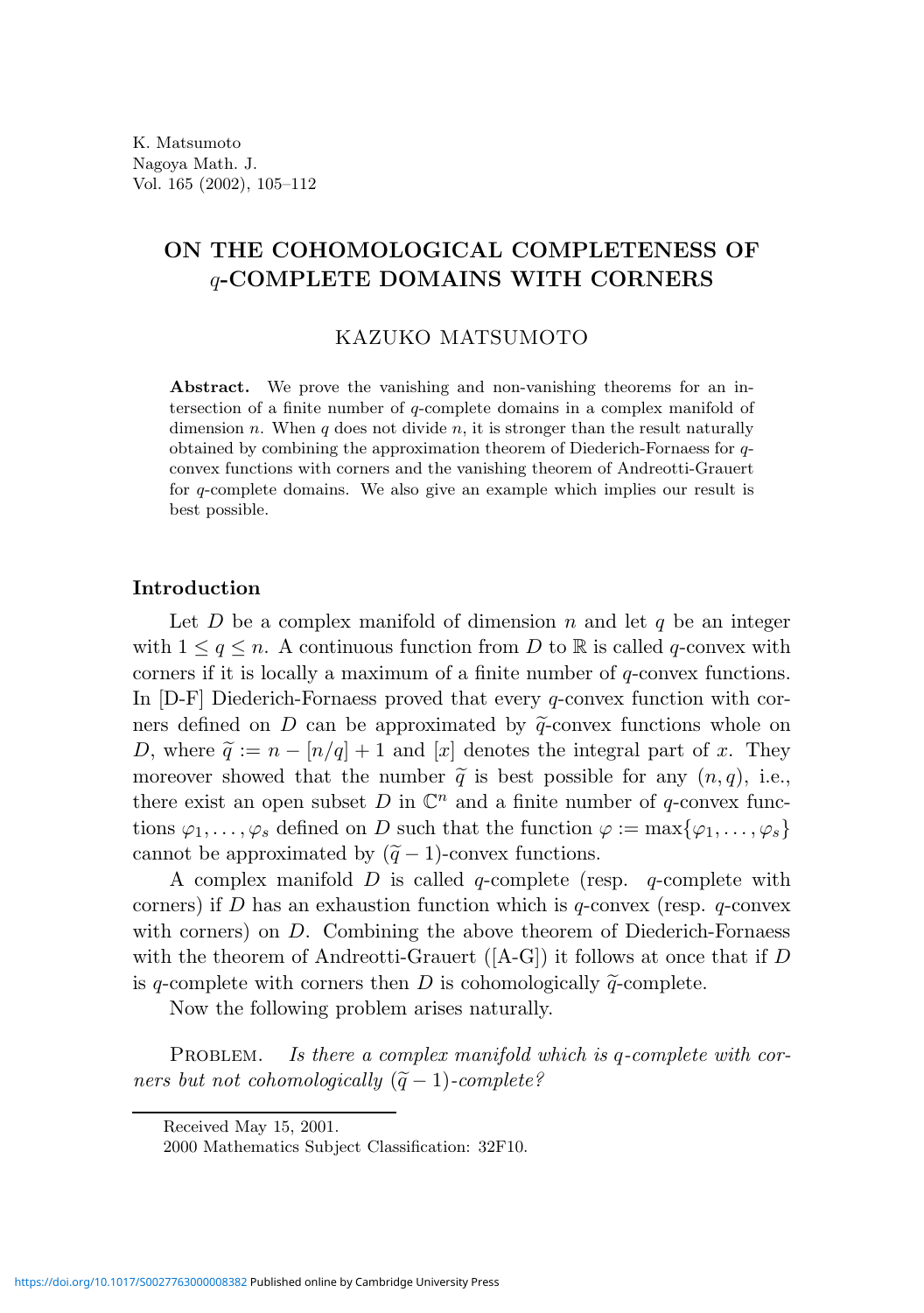# ON THE COHOMOLOGICAL COMPLETENESS OF q-COMPLETE DOMAINS WITH CORNERS

KAZUKO MATSUMOTO

Abstract. We prove the vanishing and non-vanishing theorems for an intersection of a finite number of q-complete domains in a complex manifold of dimension n. When q does not divide n, it is stronger than the result naturally obtained by combining the approximation theorem of Diederich-Fornaess for qconvex functions with corners and the vanishing theorem of Andreotti-Grauert for q-complete domains. We also give an example which implies our result is best possible.

## Introduction

Let D be a complex manifold of dimension n and let q be an integer with  $1 \leq q \leq n$ . A continuous function from D to R is called q-convex with corners if it is locally a maximum of a finite number of q-convex functions. In [D-F] Diederich-Fornaess proved that every q-convex function with corners defined on D can be approximated by  $\tilde{q}$ -convex functions whole on D, where  $\tilde{q} := n - \lfloor n/q \rfloor + 1$  and  $\lfloor x \rfloor$  denotes the integral part of x. They moreover showed that the number  $\tilde{q}$  is best possible for any  $(n, q)$ , i.e., there exist an open subset D in  $\mathbb{C}^n$  and a finite number of q-convex functions  $\varphi_1, \ldots, \varphi_s$  defined on D such that the function  $\varphi := \max{\varphi_1, \ldots, \varphi_s}$ cannot be approximated by  $(\tilde{q} - 1)$ -convex functions.

A complex manifold  $D$  is called q-complete (resp. q-complete with corners) if D has an exhaustion function which is  $q$ -convex (resp.  $q$ -convex with corners) on D. Combining the above theorem of Diederich-Fornaess with the theorem of Andreotti-Grauert ( $[A-G]$ ) it follows at once that if D is q-complete with corners then D is cohomologically  $\tilde{q}$ -complete.

Now the following problem arises naturally.

PROBLEM. Is there a complex manifold which is q-complete with corners but not cohomologically  $(\tilde{q} - 1)$ -complete?

Received May 15, 2001.

<sup>2000</sup> Mathematics Subject Classification: 32F10.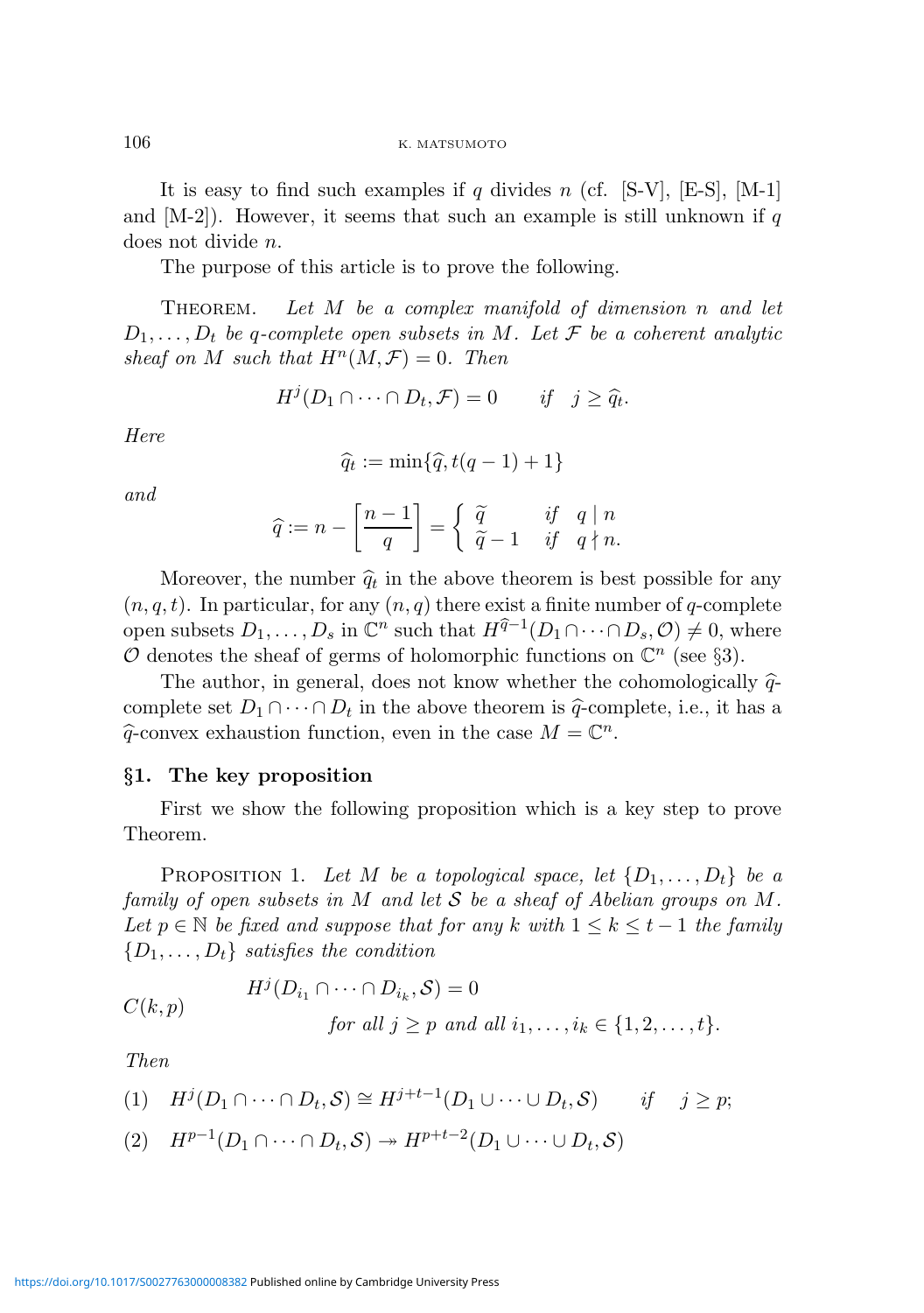It is easy to find such examples if q divides n (cf. [S-V], [E-S], [M-1] and  $[M-2]$ . However, it seems that such an example is still unknown if q does not divide n.

The purpose of this article is to prove the following.

THEOREM. Let  $M$  be a complex manifold of dimension n and let  $D_1, \ldots, D_t$  be q-complete open subsets in M. Let F be a coherent analytic sheaf on M such that  $H^n(M, \mathcal{F}) = 0$ . Then

$$
H^j(D_1 \cap \dots \cap D_t, \mathcal{F}) = 0 \quad \text{if} \quad j \ge \widehat{q}_t.
$$

Here

$$
\widehat{q}_t := \min\{\widehat{q}, t(q-1)+1\}
$$

and

$$
\widehat{q} := n - \left[\frac{n-1}{q}\right] = \begin{cases} \widetilde{q} & \text{if } q \mid n \\ \widetilde{q} - 1 & \text{if } q \nmid n. \end{cases}
$$

Moreover, the number  $\hat{q}_t$  in the above theorem is best possible for any  $(n, q, t)$ . In particular, for any  $(n, q)$  there exist a finite number of q-complete open subsets  $D_1, \ldots, D_s$  in  $\mathbb{C}^n$  such that  $H^{\widehat{q}-1}(D_1 \cap \cdots \cap D_s, \mathcal{O}) \neq 0$ , where O denotes the sheaf of germs of holomorphic functions on  $\mathbb{C}^n$  (see §3).

The author, in general, does not know whether the cohomologically  $\hat{q}$ complete set  $D_1 \cap \cdots \cap D_t$  in the above theorem is  $\hat{q}$ -complete, i.e., it has a  $\widehat{q}$ -convex exhaustion function, even in the case  $M = \mathbb{C}^n$ .

#### §1. The key proposition

First we show the following proposition which is a key step to prove Theorem.

PROPOSITION 1. Let M be a topological space, let  $\{D_1, \ldots, D_t\}$  be a family of open subsets in M and let S be a sheaf of Abelian groups on M. Let  $p \in \mathbb{N}$  be fixed and suppose that for any k with  $1 \leq k \leq t-1$  the family  $\{D_1, \ldots, D_t\}$  satisfies the condition

$$
C(k,p) \tHj(Di1 \cap \cdots \cap Dik, S) = 0for all  $j \geq p$  and all  $i_1, \ldots, i_k \in \{1, 2, \ldots, t\}.$
$$

Then

$$
(1) \quad H^j(D_1 \cap \cdots \cap D_t, \mathcal{S}) \cong H^{j+t-1}(D_1 \cup \cdots \cup D_t, \mathcal{S}) \qquad \text{if} \quad j \geq p;
$$

$$
(2) \quad H^{p-1}(D_1 \cap \cdots \cap D_t, \mathcal{S}) \to H^{p+t-2}(D_1 \cup \cdots \cup D_t, \mathcal{S})
$$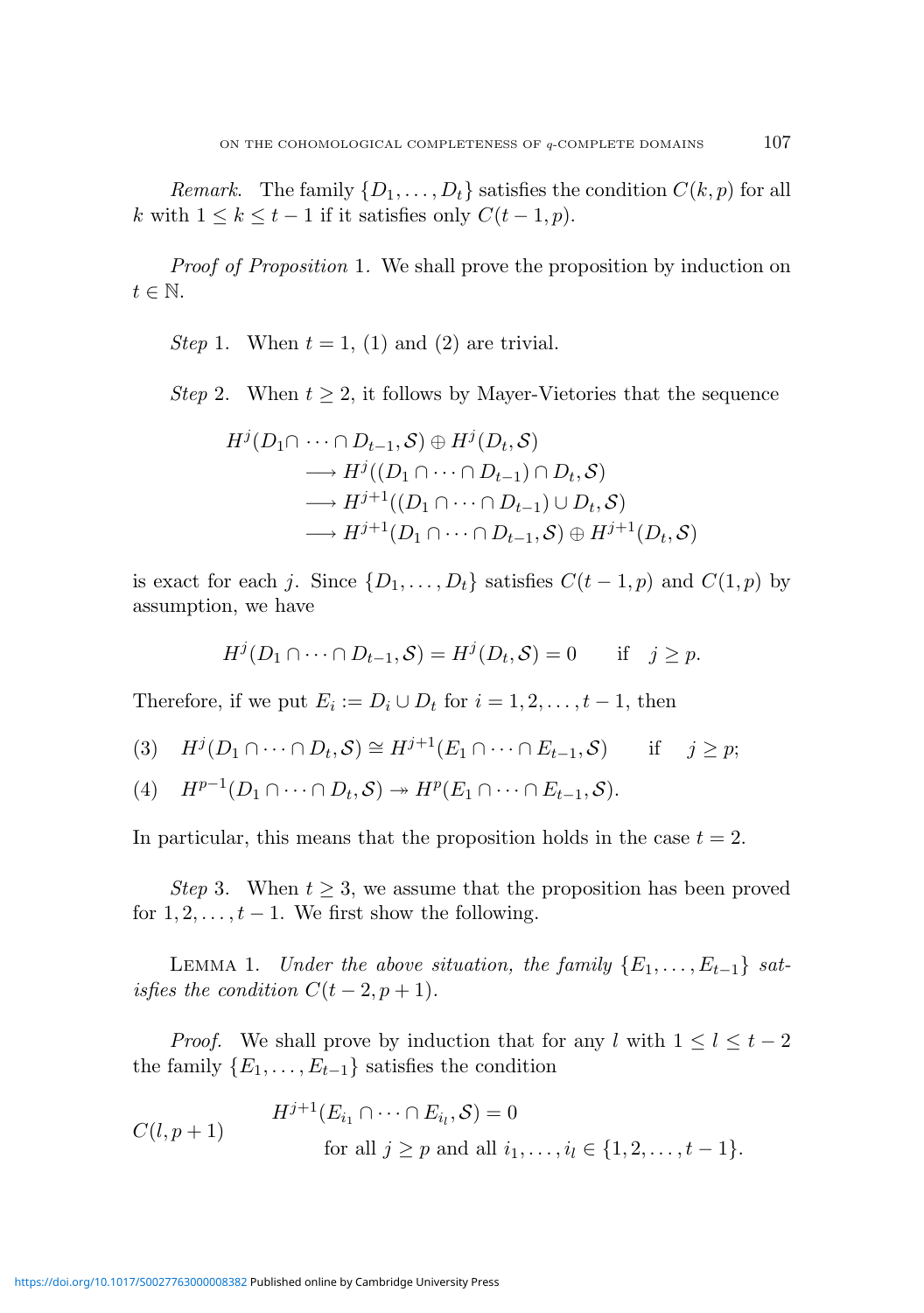Remark. The family  $\{D_1, \ldots, D_t\}$  satisfies the condition  $C(k, p)$  for all k with  $1 \leq k \leq t-1$  if it satisfies only  $C(t-1, p)$ .

Proof of Proposition 1. We shall prove the proposition by induction on  $t \in \mathbb{N}$ .

Step 1. When  $t = 1$ , (1) and (2) are trivial.

*Step* 2. When  $t > 2$ , it follows by Mayer-Vietories that the sequence

$$
H^{j}(D_{1}\cap \cdots \cap D_{t-1}, \mathcal{S}) \oplus H^{j}(D_{t}, \mathcal{S})
$$
  
\n
$$
\longrightarrow H^{j}((D_{1}\cap \cdots \cap D_{t-1}) \cap D_{t}, \mathcal{S})
$$
  
\n
$$
\longrightarrow H^{j+1}((D_{1}\cap \cdots \cap D_{t-1}) \cup D_{t}, \mathcal{S})
$$
  
\n
$$
\longrightarrow H^{j+1}(D_{1}\cap \cdots \cap D_{t-1}, \mathcal{S}) \oplus H^{j+1}(D_{t}, \mathcal{S})
$$

is exact for each j. Since  $\{D_1, \ldots, D_t\}$  satisfies  $C(t-1, p)$  and  $C(1, p)$  by assumption, we have

$$
H^j(D_1 \cap \dots \cap D_{t-1}, \mathcal{S}) = H^j(D_t, \mathcal{S}) = 0 \quad \text{if} \quad j \geq p.
$$

Therefore, if we put  $E_i := D_i \cup D_t$  for  $i = 1, 2, \dots, t - 1$ , then

$$
(3) \quad H^j(D_1 \cap \cdots \cap D_t, \mathcal{S}) \cong H^{j+1}(E_1 \cap \cdots \cap E_{t-1}, \mathcal{S}) \quad \text{if} \quad j \geq p;
$$

(4)  $H^{p-1}(D_1 \cap \cdots \cap D_t, \mathcal{S}) \rightarrow H^p(E_1 \cap \cdots \cap E_{t-1}, \mathcal{S}).$ 

In particular, this means that the proposition holds in the case  $t = 2$ .

Step 3. When  $t \geq 3$ , we assume that the proposition has been proved for  $1, 2, \ldots, t-1$ . We first show the following.

LEMMA 1. Under the above situation, the family  $\{E_1, \ldots, E_{t-1}\}\$  satisfies the condition  $C(t-2, p+1)$ .

*Proof.* We shall prove by induction that for any l with  $1 \leq l \leq t-2$ the family  $\{E_1, \ldots, E_{t-1}\}\$  satisfies the condition

$$
C(l, p+1)
$$
\n
$$
H^{j+1}(E_{i_1} \cap \dots \cap E_{i_l}, \mathcal{S}) = 0
$$
\n
$$
\text{for all } j \ge p \text{ and all } i_1, \dots, i_l \in \{1, 2, \dots, t-1\}.
$$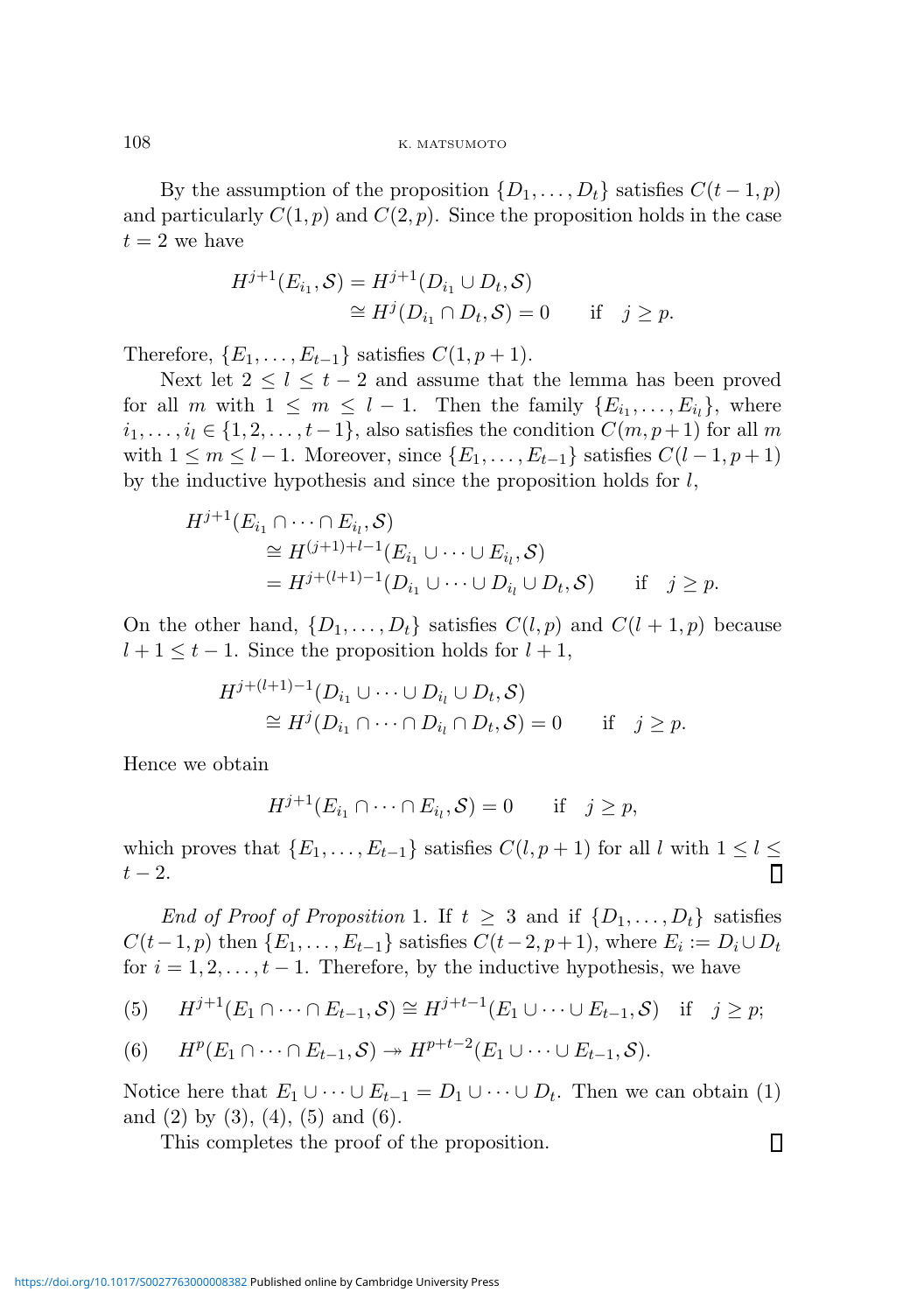108 K. MATSUMOTO

By the assumption of the proposition  $\{D_1, \ldots, D_t\}$  satisfies  $C(t-1, p)$ and particularly  $C(1, p)$  and  $C(2, p)$ . Since the proposition holds in the case  $t = 2$  we have

$$
H^{j+1}(E_{i_1}, \mathcal{S}) = H^{j+1}(D_{i_1} \cup D_t, \mathcal{S})
$$
  
\n
$$
\cong H^j(D_{i_1} \cap D_t, \mathcal{S}) = 0 \quad \text{if} \quad j \ge p.
$$

Therefore,  $\{E_1, \ldots, E_{t-1}\}\$  satisfies  $C(1, p+1)$ .

Next let  $2 \leq l \leq t-2$  and assume that the lemma has been proved for all m with  $1 \leq m \leq l-1$ . Then the family  $\{E_{i_1},...,E_{i_l}\}$ , where  $i_1, \ldots, i_l \in \{1, 2, \ldots, t-1\}$ , also satisfies the condition  $C(m, p+1)$  for all m with  $1 \leq m \leq l-1$ . Moreover, since  $\{E_1, \ldots, E_{t-1}\}\$  satisfies  $C(l-1, p+1)$ by the inductive hypothesis and since the proposition holds for l,

$$
H^{j+1}(E_{i_1} \cap \dots \cap E_{i_l}, \mathcal{S})
$$
  
\n
$$
\cong H^{(j+1)+l-1}(E_{i_1} \cup \dots \cup E_{i_l}, \mathcal{S})
$$
  
\n
$$
= H^{j+(l+1)-1}(D_{i_1} \cup \dots \cup D_{i_l} \cup D_t, \mathcal{S}) \quad \text{if} \quad j \geq p.
$$

On the other hand,  $\{D_1, \ldots, D_t\}$  satisfies  $C(l, p)$  and  $C(l + 1, p)$  because  $l + 1 \leq t - 1$ . Since the proposition holds for  $l + 1$ ,

$$
H^{j+(l+1)-1}(D_{i_1} \cup \cdots \cup D_{i_l} \cup D_t, S)
$$
  
\n
$$
\cong H^j(D_{i_1} \cap \cdots \cap D_{i_l} \cap D_t, S) = 0 \quad \text{if} \quad j \ge p.
$$

Hence we obtain

$$
H^{j+1}(E_{i_1} \cap \dots \cap E_{i_l}, \mathcal{S}) = 0 \quad \text{if} \quad j \ge p,
$$

which proves that  $\{E_1, \ldots, E_{t-1}\}\$  satisfies  $C(l, p+1)$  for all l with  $1 \leq l \leq$  $t-2$ . П

End of Proof of Proposition 1. If  $t \geq 3$  and if  $\{D_1, \ldots, D_t\}$  satisfies  $C(t-1, p)$  then  $\{E_1, \ldots, E_{t-1}\}$  satisfies  $C(t-2, p+1)$ , where  $E_i := D_i \cup D_t$ for  $i = 1, 2, \ldots, t - 1$ . Therefore, by the inductive hypothesis, we have

(5) 
$$
H^{j+1}(E_1 \cap \dots \cap E_{t-1}, \mathcal{S}) \cong H^{j+t-1}(E_1 \cup \dots \cup E_{t-1}, \mathcal{S}) \quad \text{if} \quad j \geq p;
$$

(6) 
$$
H^p(E_1 \cap \cdots \cap E_{t-1}, \mathcal{S}) \rightarrow H^{p+t-2}(E_1 \cup \cdots \cup E_{t-1}, \mathcal{S}).
$$

Notice here that  $E_1 \cup \cdots \cup E_{t-1} = D_1 \cup \cdots \cup D_t$ . Then we can obtain (1) and  $(2)$  by  $(3)$ ,  $(4)$ ,  $(5)$  and  $(6)$ .

 $\Box$ 

This completes the proof of the proposition.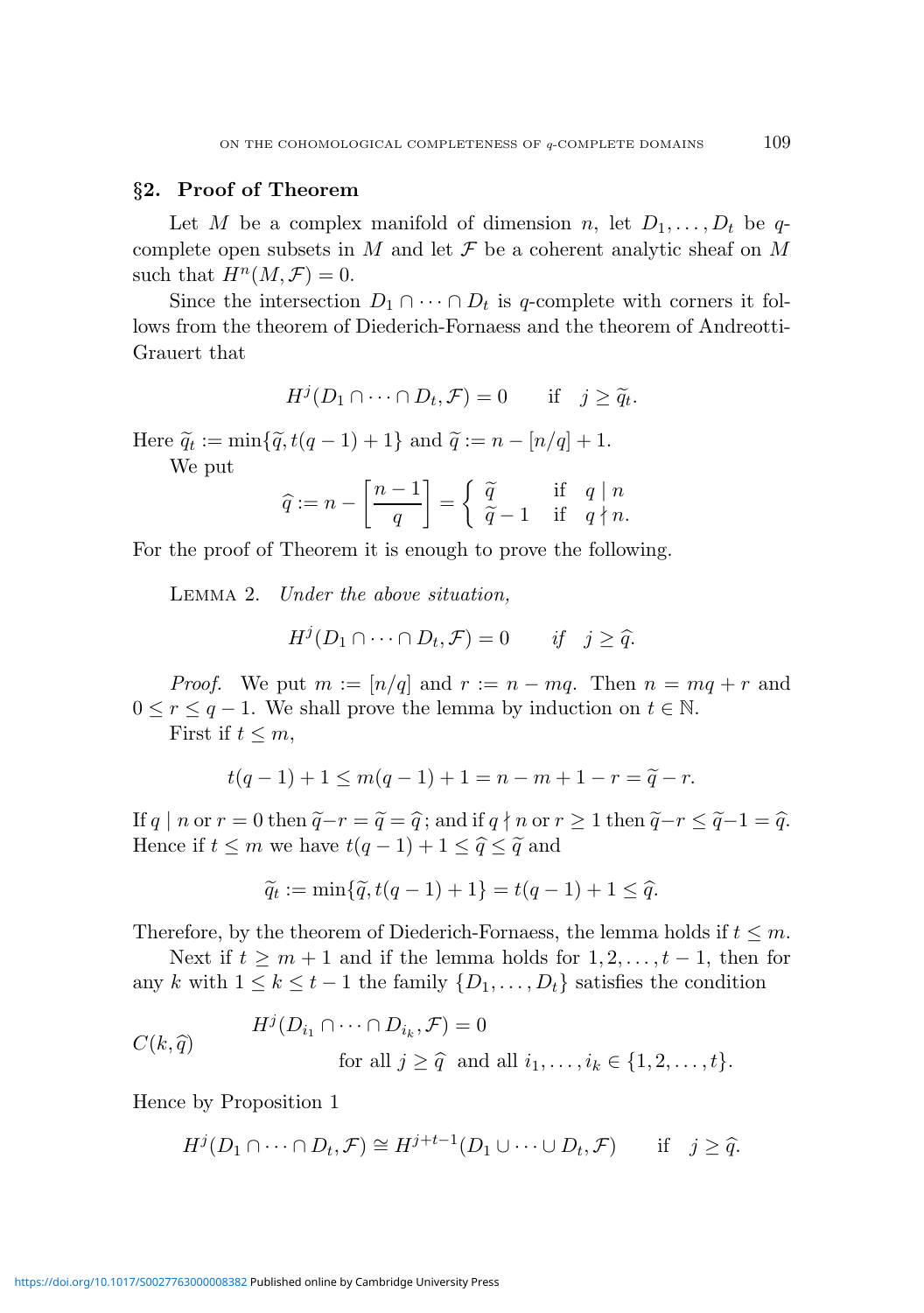#### §2. Proof of Theorem

Let M be a complex manifold of dimension n, let  $D_1, \ldots, D_t$  be qcomplete open subsets in M and let  $\mathcal F$  be a coherent analytic sheaf on M such that  $H^n(M, \mathcal{F}) = 0$ .

Since the intersection  $D_1 \cap \cdots \cap D_t$  is q-complete with corners it follows from the theorem of Diederich-Fornaess and the theorem of Andreotti-Grauert that

$$
H^j(D_1 \cap \dots \cap D_t, \mathcal{F}) = 0 \quad \text{if} \quad j \ge \tilde{q}_t.
$$

Here  $\widetilde{q}_t := \min\{\widetilde{q}, t(q-1)+1\}$  and  $\widetilde{q} := n - [n/q] + 1$ .

We put

$$
\widehat{q} := n - \left[\frac{n-1}{q}\right] = \begin{cases} \widetilde{q} & \text{if } q \mid n \\ \widetilde{q} - 1 & \text{if } q \nmid n. \end{cases}
$$

For the proof of Theorem it is enough to prove the following.

Lemma 2. Under the above situation,

$$
H^j(D_1 \cap \dots \cap D_t, \mathcal{F}) = 0 \quad \text{if} \quad j \geq \widehat{q}.
$$

*Proof.* We put  $m := \lfloor n/q \rfloor$  and  $r := n - mq$ . Then  $n = mq + r$  and  $0 \leq r \leq q-1$ . We shall prove the lemma by induction on  $t \in \mathbb{N}$ . First if  $t \leq m$ ,

$$
t(q-1) + 1 \le m(q-1) + 1 = n - m + 1 - r = \tilde{q} - r.
$$

If q | n or r = 0 then  $\tilde{q} - r = \tilde{q} = \hat{q}$ ; and if  $q \nmid n$  or  $r \geq 1$  then  $\tilde{q} - r \leq \tilde{q} - 1 = \hat{q}$ . Hence if  $t \leq m$  we have  $t(q-1) + 1 \leq \hat{q} \leq \tilde{q}$  and

$$
\widetilde{q}_t := \min\{\widetilde{q}, t(q-1) + 1\} = t(q-1) + 1 \leq \widehat{q}.
$$

Therefore, by the theorem of Diederich-Fornaess, the lemma holds if  $t \leq m$ .

Next if  $t \geq m+1$  and if the lemma holds for  $1, 2, \ldots, t-1$ , then for any k with  $1 \leq k \leq t-1$  the family  $\{D_1, \ldots, D_t\}$  satisfies the condition

$$
C(k,\widehat{q}) \qquad \begin{aligned} H^j(D_{i_1} \cap \cdots \cap D_{i_k}, \mathcal{F}) &= 0 \\ \text{for all } j \ge \widehat{q} \text{ and all } i_1, \dots, i_k \in \{1, 2, \dots, t\}. \end{aligned}
$$

Hence by Proposition 1

$$
H^j(D_1 \cap \dots \cap D_t, \mathcal{F}) \cong H^{j+t-1}(D_1 \cup \dots \cup D_t, \mathcal{F}) \quad \text{if} \quad j \geq \widehat{q}.
$$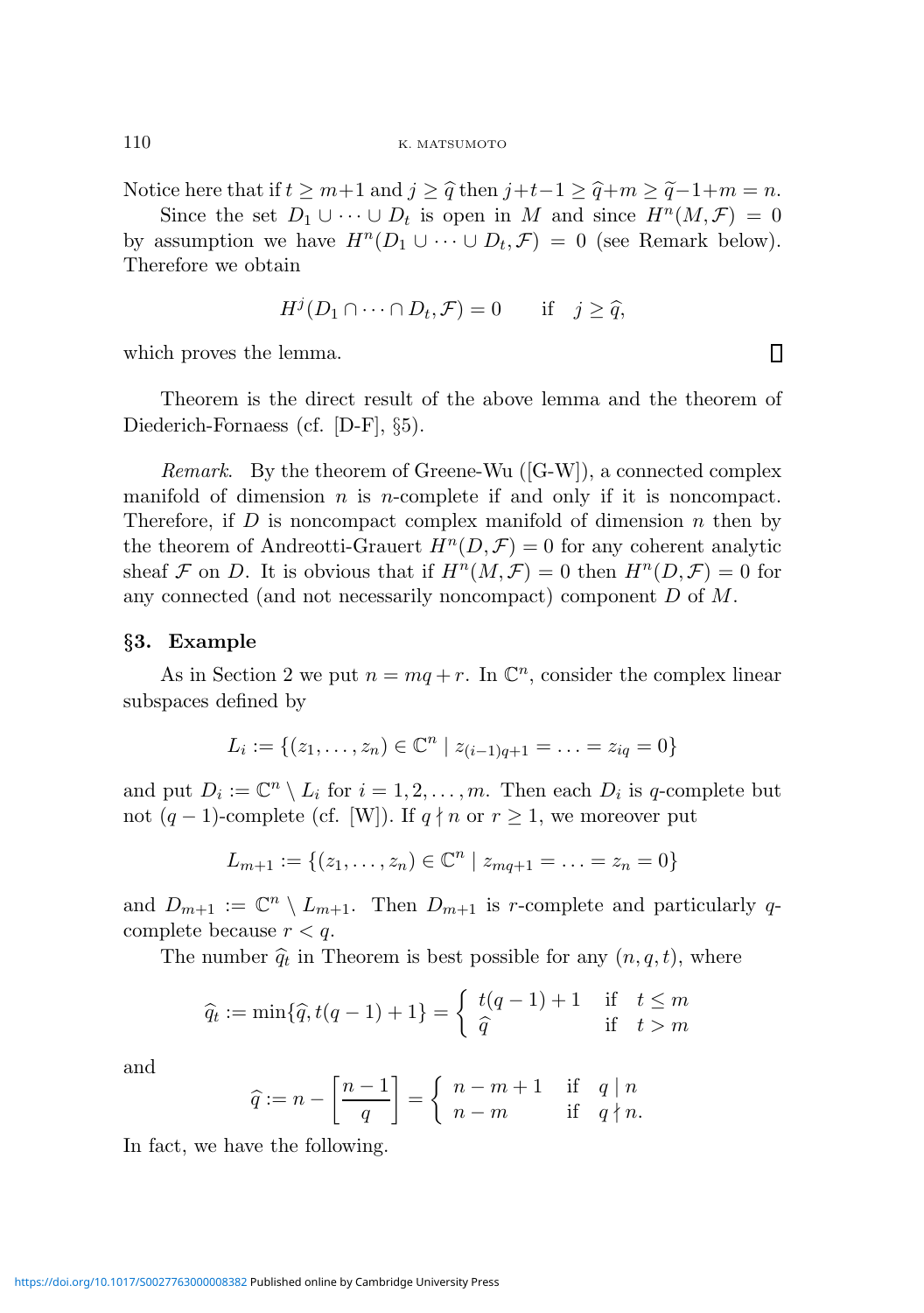110 K. MATSUMOTO

Notice here that if  $t \geq m+1$  and  $j \geq \hat{q}$  then  $j+t-1 \geq \hat{q}+m \geq \tilde{q}-1+m = n$ .

Since the set  $D_1 \cup \cdots \cup D_t$  is open in M and since  $H^n(M,\mathcal{F}) = 0$ by assumption we have  $H^n(D_1 \cup \cdots \cup D_t, \mathcal{F}) = 0$  (see Remark below). Therefore we obtain

$$
H^j(D_1 \cap \dots \cap D_t, \mathcal{F}) = 0 \quad \text{if} \quad j \geq \widehat{q},
$$

which proves the lemma.

Theorem is the direct result of the above lemma and the theorem of Diederich-Fornaess (cf. [D-F], §5).

*Remark.* By the theorem of Greene-Wu  $([G-W])$ , a connected complex manifold of dimension  $n$  is *n*-complete if and only if it is noncompact. Therefore, if  $D$  is noncompact complex manifold of dimension  $n$  then by the theorem of Andreotti-Grauert  $H^n(D, \mathcal{F}) = 0$  for any coherent analytic sheaf F on D. It is obvious that if  $H^n(M,\mathcal{F})=0$  then  $H^n(D,\mathcal{F})=0$  for any connected (and not necessarily noncompact) component D of M.

#### §3. Example

As in Section 2 we put  $n = mq + r$ . In  $\mathbb{C}^n$ , consider the complex linear subspaces defined by

$$
L_i := \{(z_1, \ldots, z_n) \in \mathbb{C}^n \mid z_{(i-1)q+1} = \ldots = z_{iq} = 0\}
$$

and put  $D_i := \mathbb{C}^n \setminus L_i$  for  $i = 1, 2, ..., m$ . Then each  $D_i$  is q-complete but not  $(q-1)$ -complete (cf. [W]). If  $q \nmid n$  or  $r \geq 1$ , we moreover put

$$
L_{m+1} := \{(z_1, \ldots, z_n) \in \mathbb{C}^n \mid z_{mq+1} = \ldots = z_n = 0\}
$$

and  $D_{m+1} := \mathbb{C}^n \setminus L_{m+1}$ . Then  $D_{m+1}$  is r-complete and particularly qcomplete because  $r < q$ .

The number  $\hat{q}_t$  in Theorem is best possible for any  $(n, q, t)$ , where

$$
\widehat{q}_t := \min\{\widehat{q}, t(q-1) + 1\} = \begin{cases} t(q-1) + 1 & \text{if } t \le m \\ \widehat{q} & \text{if } t > m \end{cases}
$$

and

$$
\widehat{q} := n - \left[\frac{n-1}{q}\right] = \begin{cases} n-m+1 & \text{if } q \mid n \\ n-m & \text{if } q \nmid n. \end{cases}
$$

In fact, we have the following.

 $\Box$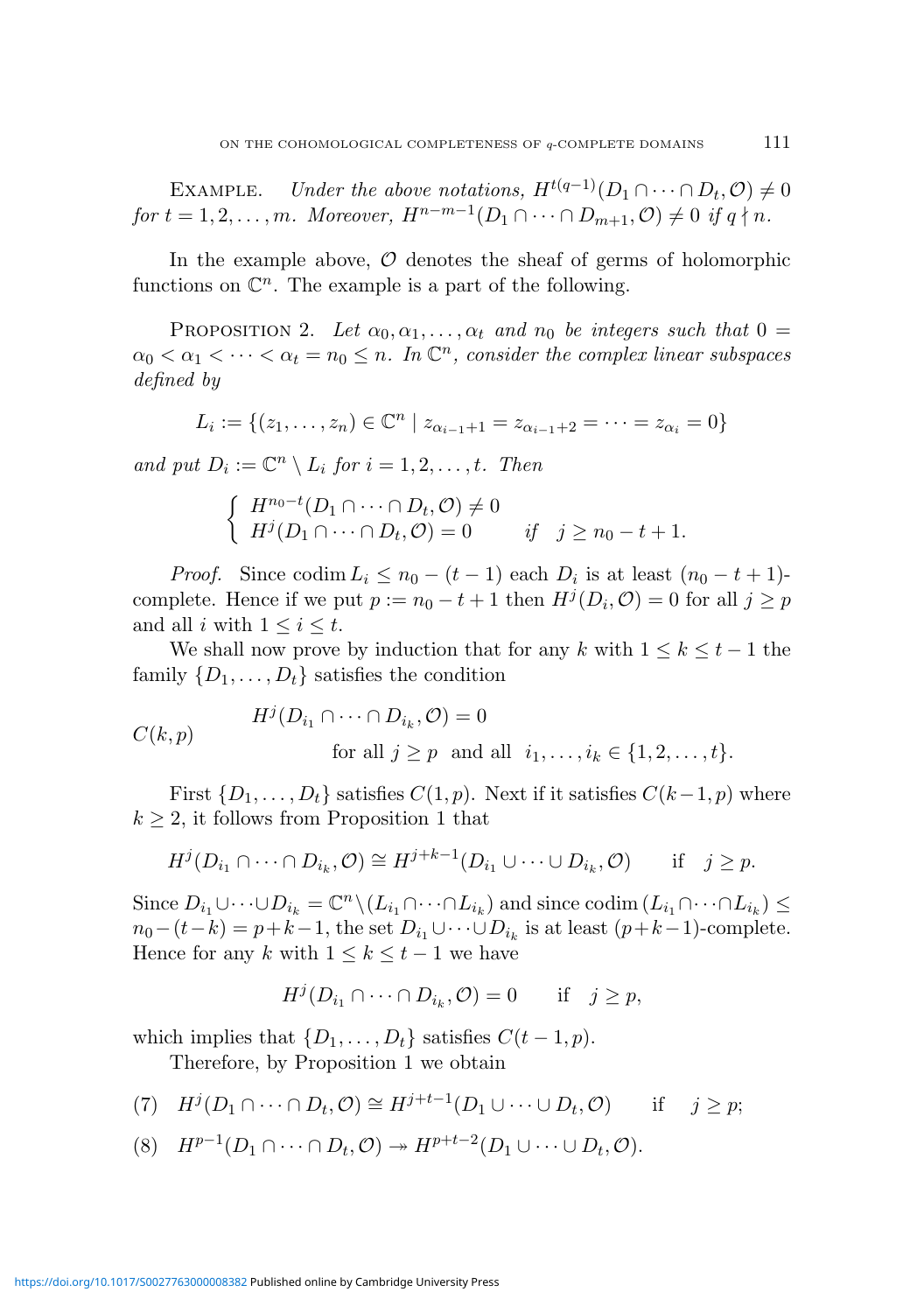EXAMPLE. Under the above notations,  $H^{t(q-1)}(D_1 \cap \cdots \cap D_t, \mathcal{O}) \neq 0$ for  $t = 1, 2, \ldots, m$ . Moreover,  $H^{n-m-1}(D_1 \cap \cdots \cap D_{m+1}, \mathcal{O}) \neq 0$  if  $q \nmid n$ .

In the example above,  $\mathcal O$  denotes the sheaf of germs of holomorphic functions on  $\mathbb{C}^n$ . The example is a part of the following.

PROPOSITION 2. Let  $\alpha_0, \alpha_1, \ldots, \alpha_t$  and  $n_0$  be integers such that  $0 =$  $\alpha_0 < \alpha_1 < \cdots < \alpha_t = n_0 \leq n$ . In  $\mathbb{C}^n$ , consider the complex linear subspaces defined by

$$
L_i := \{(z_1, \ldots, z_n) \in \mathbb{C}^n \mid z_{\alpha_{i-1}+1} = z_{\alpha_{i-1}+2} = \cdots = z_{\alpha_i} = 0\}
$$

and put  $D_i := \mathbb{C}^n \setminus L_i$  for  $i = 1, 2, \ldots, t$ . Then

$$
\begin{cases}\nH^{n_0-t}(D_1 \cap \dots \cap D_t, \mathcal{O}) \neq 0 \\
H^j(D_1 \cap \dots \cap D_t, \mathcal{O}) = 0 \qquad \text{if} \quad j \geq n_0 - t + 1.\n\end{cases}
$$

*Proof.* Since  $\text{codim } L_i \leq n_0 - (t - 1)$  each  $D_i$  is at least  $(n_0 - t + 1)$ complete. Hence if we put  $p := n_0 - t + 1$  then  $H^j(D_i, \mathcal{O}) = 0$  for all  $j \geq p$ and all i with  $1 \leq i \leq t$ .

We shall now prove by induction that for any k with  $1 \leq k \leq t-1$  the family  $\{D_1, \ldots, D_t\}$  satisfies the condition

$$
C(k, p) \tHj(Di1 \cap \cdots \cap Dik, \mathcal{O}) = 0
$$
  
for all  $j \ge p$  and all  $i_1, \ldots, i_k \in \{1, 2, \ldots, t\}.$ 

First  $\{D_1, \ldots, D_t\}$  satisfies  $C(1, p)$ . Next if it satisfies  $C(k-1, p)$  where  $k \geq 2$ , it follows from Proposition 1 that

$$
H^j(D_{i_1} \cap \cdots \cap D_{i_k}, \mathcal{O}) \cong H^{j+k-1}(D_{i_1} \cup \cdots \cup D_{i_k}, \mathcal{O}) \quad \text{if} \quad j \geq p.
$$

Since  $D_{i_1} \cup \cdots \cup D_{i_k} = \mathbb{C}^n \setminus (L_{i_1} \cap \cdots \cap L_{i_k})$  and since  $\text{codim}(L_{i_1} \cap \cdots \cap L_{i_k}) \leq$  $n_0-(t-k) = p+k-1$ , the set  $D_{i_1} \cup \cdots \cup D_{i_k}$  is at least  $(p+k-1)$ -complete. Hence for any k with  $1 \leq k \leq t-1$  we have

$$
H^j(D_{i_1} \cap \dots \cap D_{i_k}, \mathcal{O}) = 0 \quad \text{if} \quad j \ge p,
$$

which implies that  $\{D_1, \ldots, D_t\}$  satisfies  $C(t-1, p)$ .

Therefore, by Proposition 1 we obtain

(7) 
$$
H^j(D_1 \cap \cdots \cap D_t, \mathcal{O}) \cong H^{j+t-1}(D_1 \cup \cdots \cup D_t, \mathcal{O})
$$
 if  $j \geq p$ ;

(8)  $H^{p-1}(D_1 \cap \cdots \cap D_t, \mathcal{O}) \rightarrow H^{p+t-2}(D_1 \cup \cdots \cup D_t, \mathcal{O}).$